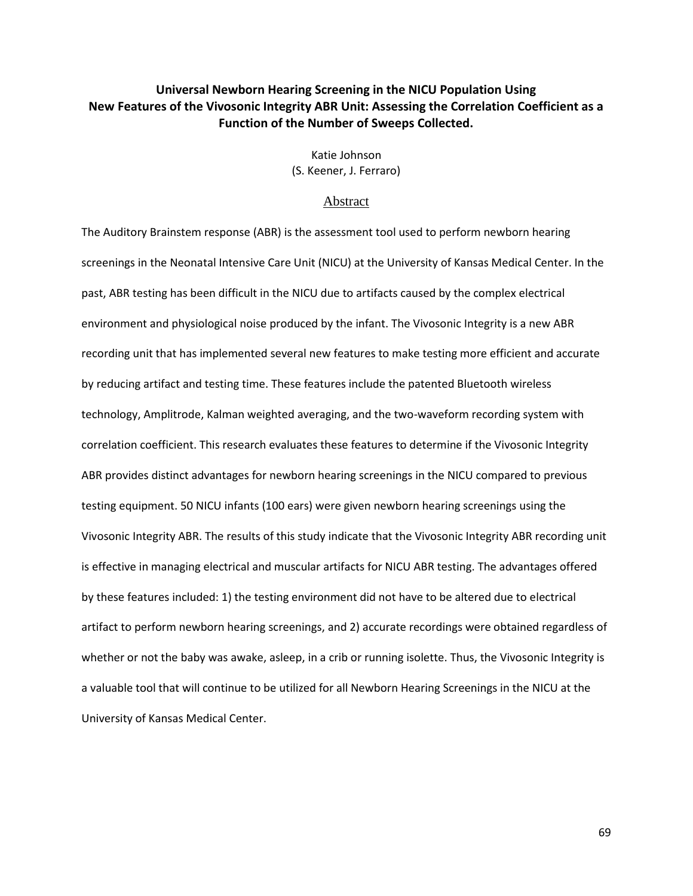# **Universal Newborn Hearing Screening in the NICU Population Using New Features of the Vivosonic Integrity ABR Unit: Assessing the Correlation Coefficient as a Function of the Number of Sweeps Collected.**

Katie Johnson (S. Keener, J. Ferraro)

### Abstract

The Auditory Brainstem response (ABR) is the assessment tool used to perform newborn hearing screenings in the Neonatal Intensive Care Unit (NICU) at the University of Kansas Medical Center. In the past, ABR testing has been difficult in the NICU due to artifacts caused by the complex electrical environment and physiological noise produced by the infant. The Vivosonic Integrity is a new ABR recording unit that has implemented several new features to make testing more efficient and accurate by reducing artifact and testing time. These features include the patented Bluetooth wireless technology, Amplitrode, Kalman weighted averaging, and the two-waveform recording system with correlation coefficient. This research evaluates these features to determine if the Vivosonic Integrity ABR provides distinct advantages for newborn hearing screenings in the NICU compared to previous testing equipment. 50 NICU infants (100 ears) were given newborn hearing screenings using the Vivosonic Integrity ABR. The results of this study indicate that the Vivosonic Integrity ABR recording unit is effective in managing electrical and muscular artifacts for NICU ABR testing. The advantages offered by these features included: 1) the testing environment did not have to be altered due to electrical artifact to perform newborn hearing screenings, and 2) accurate recordings were obtained regardless of whether or not the baby was awake, asleep, in a crib or running isolette. Thus, the Vivosonic Integrity is a valuable tool that will continue to be utilized for all Newborn Hearing Screenings in the NICU at the University of Kansas Medical Center.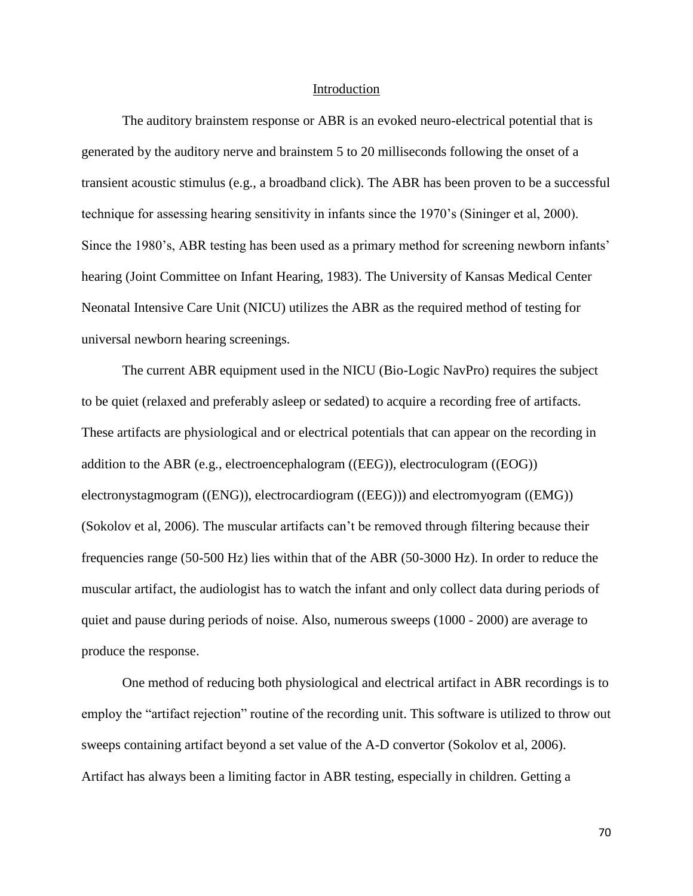### Introduction

The auditory brainstem response or ABR is an evoked neuro-electrical potential that is generated by the auditory nerve and brainstem 5 to 20 milliseconds following the onset of a transient acoustic stimulus (e.g., a broadband click). The ABR has been proven to be a successful technique for assessing hearing sensitivity in infants since the 1970's (Sininger et al, 2000). Since the 1980's, ABR testing has been used as a primary method for screening newborn infants' hearing (Joint Committee on Infant Hearing, 1983). The University of Kansas Medical Center Neonatal Intensive Care Unit (NICU) utilizes the ABR as the required method of testing for universal newborn hearing screenings.

The current ABR equipment used in the NICU (Bio-Logic NavPro) requires the subject to be quiet (relaxed and preferably asleep or sedated) to acquire a recording free of artifacts. These artifacts are physiological and or electrical potentials that can appear on the recording in addition to the ABR (e.g., electroencephalogram ((EEG)), electroculogram ((EOG)) electronystagmogram ((ENG)), electrocardiogram ((EEG))) and electromyogram ((EMG)) (Sokolov et al, 2006). The muscular artifacts can't be removed through filtering because their frequencies range (50-500 Hz) lies within that of the ABR (50-3000 Hz). In order to reduce the muscular artifact, the audiologist has to watch the infant and only collect data during periods of quiet and pause during periods of noise. Also, numerous sweeps (1000 - 2000) are average to produce the response.

One method of reducing both physiological and electrical artifact in ABR recordings is to employ the "artifact rejection" routine of the recording unit. This software is utilized to throw out sweeps containing artifact beyond a set value of the A-D convertor (Sokolov et al, 2006). Artifact has always been a limiting factor in ABR testing, especially in children. Getting a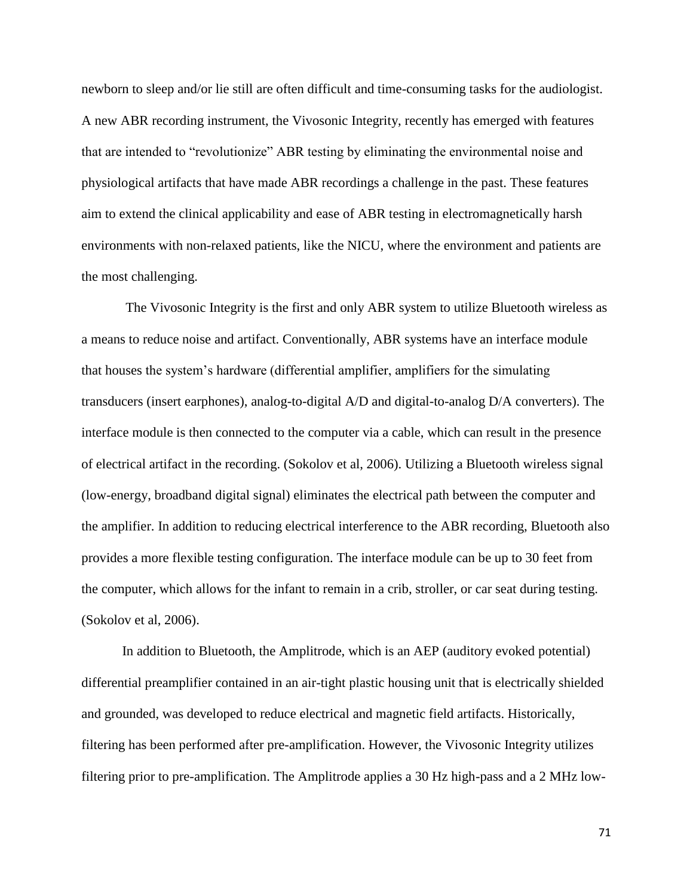newborn to sleep and/or lie still are often difficult and time-consuming tasks for the audiologist. A new ABR recording instrument, the Vivosonic Integrity, recently has emerged with features that are intended to "revolutionize" ABR testing by eliminating the environmental noise and physiological artifacts that have made ABR recordings a challenge in the past. These features aim to extend the clinical applicability and ease of ABR testing in electromagnetically harsh environments with non-relaxed patients, like the NICU, where the environment and patients are the most challenging.

The Vivosonic Integrity is the first and only ABR system to utilize Bluetooth wireless as a means to reduce noise and artifact. Conventionally, ABR systems have an interface module that houses the system's hardware (differential amplifier, amplifiers for the simulating transducers (insert earphones), analog-to-digital A/D and digital-to-analog D/A converters). The interface module is then connected to the computer via a cable, which can result in the presence of electrical artifact in the recording. (Sokolov et al, 2006). Utilizing a Bluetooth wireless signal (low-energy, broadband digital signal) eliminates the electrical path between the computer and the amplifier. In addition to reducing electrical interference to the ABR recording, Bluetooth also provides a more flexible testing configuration. The interface module can be up to 30 feet from the computer, which allows for the infant to remain in a crib, stroller, or car seat during testing. (Sokolov et al, 2006).

In addition to Bluetooth, the Amplitrode, which is an AEP (auditory evoked potential) differential preamplifier contained in an air-tight plastic housing unit that is electrically shielded and grounded, was developed to reduce electrical and magnetic field artifacts. Historically, filtering has been performed after pre-amplification. However, the Vivosonic Integrity utilizes filtering prior to pre-amplification. The Amplitrode applies a 30 Hz high-pass and a 2 MHz low-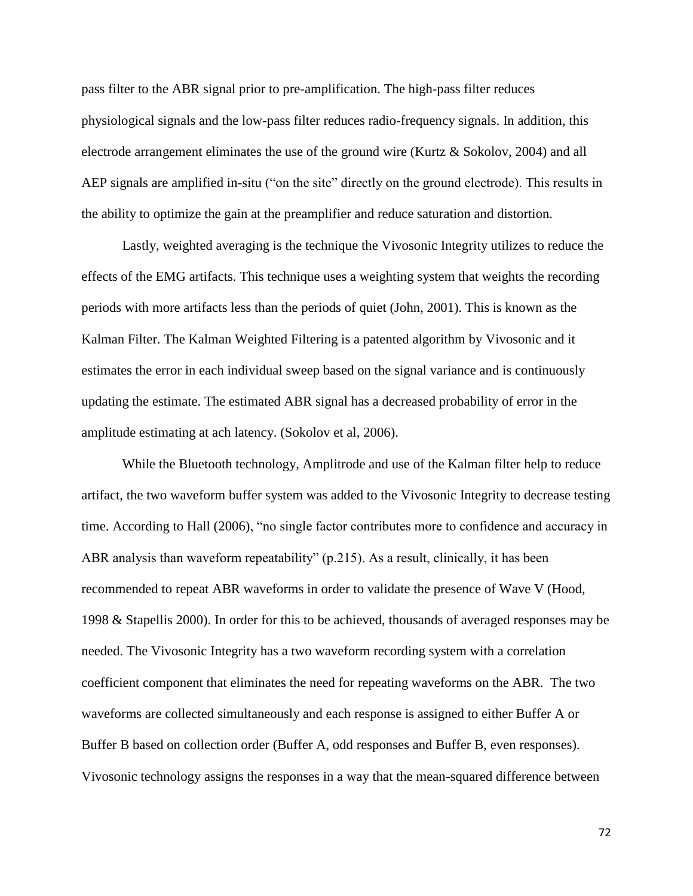pass filter to the ABR signal prior to pre-amplification. The high-pass filter reduces physiological signals and the low-pass filter reduces radio-frequency signals. In addition, this electrode arrangement eliminates the use of the ground wire (Kurtz & Sokolov, 2004) and all AEP signals are amplified in-situ ("on the site" directly on the ground electrode). This results in the ability to optimize the gain at the preamplifier and reduce saturation and distortion.

Lastly, weighted averaging is the technique the Vivosonic Integrity utilizes to reduce the effects of the EMG artifacts. This technique uses a weighting system that weights the recording periods with more artifacts less than the periods of quiet (John, 2001). This is known as the Kalman Filter. The Kalman Weighted Filtering is a patented algorithm by Vivosonic and it estimates the error in each individual sweep based on the signal variance and is continuously updating the estimate. The estimated ABR signal has a decreased probability of error in the amplitude estimating at ach latency. (Sokolov et al, 2006).

While the Bluetooth technology, Amplitrode and use of the Kalman filter help to reduce artifact, the two waveform buffer system was added to the Vivosonic Integrity to decrease testing time. According to Hall (2006), "no single factor contributes more to confidence and accuracy in ABR analysis than waveform repeatability" (p.215). As a result, clinically, it has been recommended to repeat ABR waveforms in order to validate the presence of Wave V (Hood, 1998 & Stapellis 2000). In order for this to be achieved, thousands of averaged responses may be needed. The Vivosonic Integrity has a two waveform recording system with a correlation coefficient component that eliminates the need for repeating waveforms on the ABR. The two waveforms are collected simultaneously and each response is assigned to either Buffer A or Buffer B based on collection order (Buffer A, odd responses and Buffer B, even responses). Vivosonic technology assigns the responses in a way that the mean-squared difference between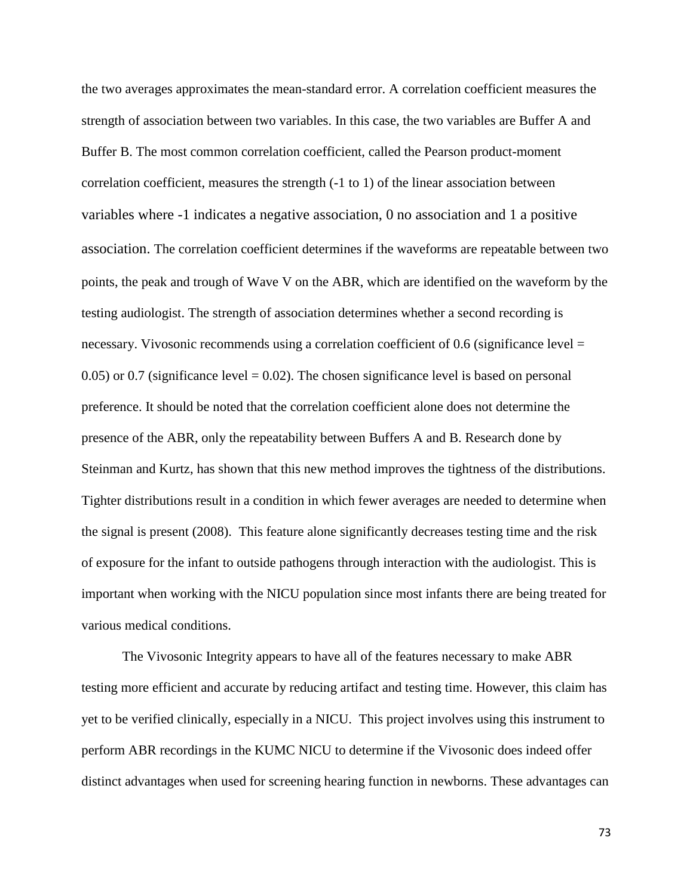the two averages approximates the mean-standard error. A correlation coefficient measures the strength of association between two variables. In this case, the two variables are Buffer A and Buffer B. The most common correlation coefficient, called the Pearson product-moment correlation coefficient, measures the strength (-1 to 1) of the linear association between variables where -1 indicates a negative association, 0 no association and 1 a positive association. The correlation coefficient determines if the waveforms are repeatable between two points, the peak and trough of Wave V on the ABR, which are identified on the waveform by the testing audiologist. The strength of association determines whether a second recording is necessary. Vivosonic recommends using a correlation coefficient of 0.6 (significance level =  $0.05$ ) or 0.7 (significance level  $= 0.02$ ). The chosen significance level is based on personal preference. It should be noted that the correlation coefficient alone does not determine the presence of the ABR, only the repeatability between Buffers A and B. Research done by Steinman and Kurtz, has shown that this new method improves the tightness of the distributions. Tighter distributions result in a condition in which fewer averages are needed to determine when the signal is present (2008). This feature alone significantly decreases testing time and the risk of exposure for the infant to outside pathogens through interaction with the audiologist. This is important when working with the NICU population since most infants there are being treated for various medical conditions.

The Vivosonic Integrity appears to have all of the features necessary to make ABR testing more efficient and accurate by reducing artifact and testing time. However, this claim has yet to be verified clinically, especially in a NICU. This project involves using this instrument to perform ABR recordings in the KUMC NICU to determine if the Vivosonic does indeed offer distinct advantages when used for screening hearing function in newborns. These advantages can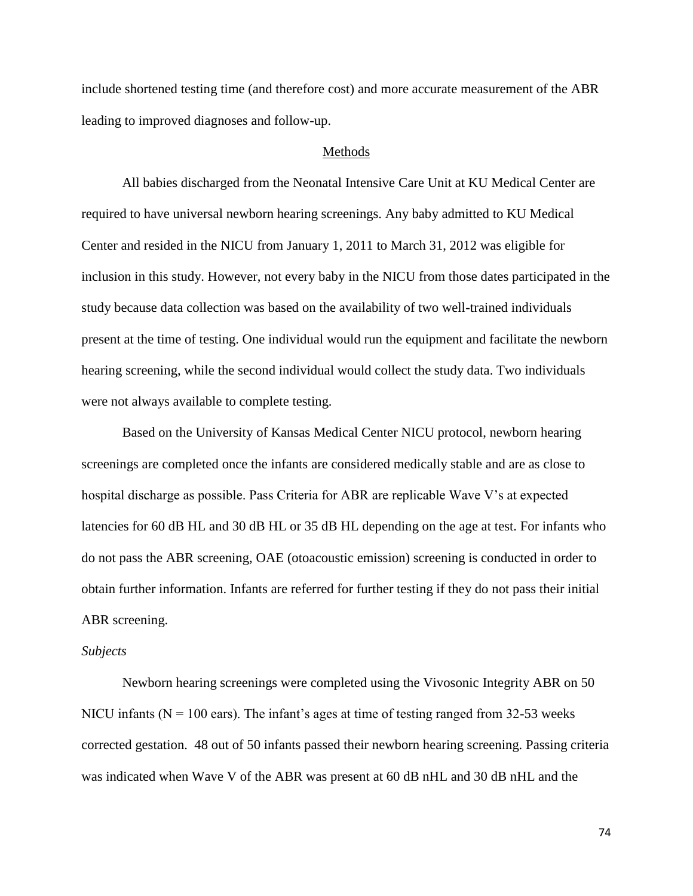include shortened testing time (and therefore cost) and more accurate measurement of the ABR leading to improved diagnoses and follow-up.

## Methods

All babies discharged from the Neonatal Intensive Care Unit at KU Medical Center are required to have universal newborn hearing screenings. Any baby admitted to KU Medical Center and resided in the NICU from January 1, 2011 to March 31, 2012 was eligible for inclusion in this study. However, not every baby in the NICU from those dates participated in the study because data collection was based on the availability of two well-trained individuals present at the time of testing. One individual would run the equipment and facilitate the newborn hearing screening, while the second individual would collect the study data. Two individuals were not always available to complete testing.

Based on the University of Kansas Medical Center NICU protocol, newborn hearing screenings are completed once the infants are considered medically stable and are as close to hospital discharge as possible. Pass Criteria for ABR are replicable Wave V's at expected latencies for 60 dB HL and 30 dB HL or 35 dB HL depending on the age at test. For infants who do not pass the ABR screening, OAE (otoacoustic emission) screening is conducted in order to obtain further information. Infants are referred for further testing if they do not pass their initial ABR screening.

## *Subjects*

Newborn hearing screenings were completed using the Vivosonic Integrity ABR on 50 NICU infants ( $N = 100$  ears). The infant's ages at time of testing ranged from 32-53 weeks corrected gestation. 48 out of 50 infants passed their newborn hearing screening. Passing criteria was indicated when Wave V of the ABR was present at 60 dB nHL and 30 dB nHL and the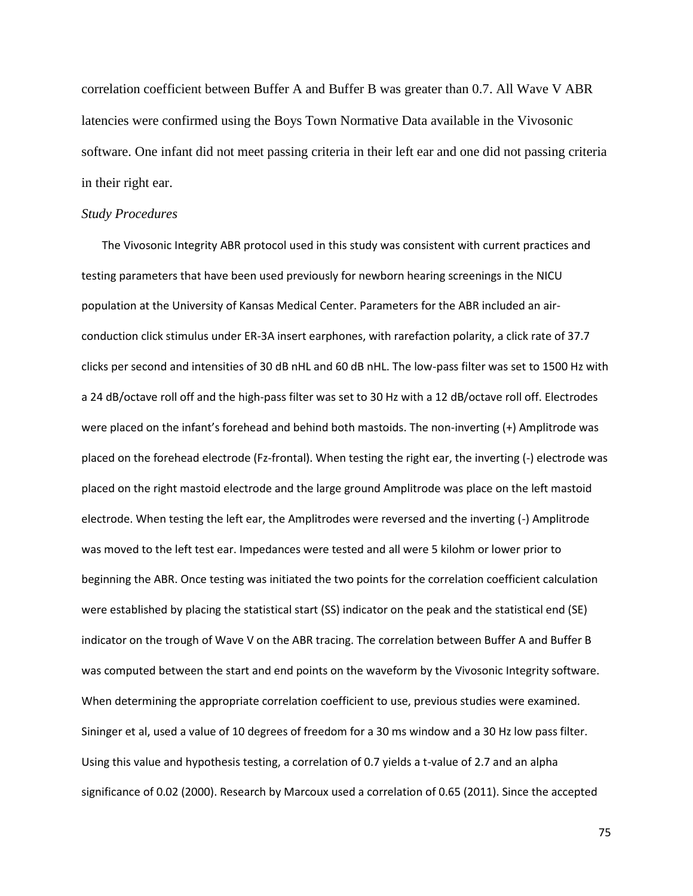correlation coefficient between Buffer A and Buffer B was greater than 0.7. All Wave V ABR latencies were confirmed using the Boys Town Normative Data available in the Vivosonic software. One infant did not meet passing criteria in their left ear and one did not passing criteria in their right ear.

#### *Study Procedures*

The Vivosonic Integrity ABR protocol used in this study was consistent with current practices and testing parameters that have been used previously for newborn hearing screenings in the NICU population at the University of Kansas Medical Center. Parameters for the ABR included an airconduction click stimulus under ER-3A insert earphones, with rarefaction polarity, a click rate of 37.7 clicks per second and intensities of 30 dB nHL and 60 dB nHL. The low-pass filter was set to 1500 Hz with a 24 dB/octave roll off and the high-pass filter was set to 30 Hz with a 12 dB/octave roll off. Electrodes were placed on the infant's forehead and behind both mastoids. The non-inverting (+) Amplitrode was placed on the forehead electrode (Fz-frontal). When testing the right ear, the inverting (-) electrode was placed on the right mastoid electrode and the large ground Amplitrode was place on the left mastoid electrode. When testing the left ear, the Amplitrodes were reversed and the inverting (-) Amplitrode was moved to the left test ear. Impedances were tested and all were 5 kilohm or lower prior to beginning the ABR. Once testing was initiated the two points for the correlation coefficient calculation were established by placing the statistical start (SS) indicator on the peak and the statistical end (SE) indicator on the trough of Wave V on the ABR tracing. The correlation between Buffer A and Buffer B was computed between the start and end points on the waveform by the Vivosonic Integrity software. When determining the appropriate correlation coefficient to use, previous studies were examined. Sininger et al, used a value of 10 degrees of freedom for a 30 ms window and a 30 Hz low pass filter. Using this value and hypothesis testing, a correlation of 0.7 yields a t-value of 2.7 and an alpha significance of 0.02 (2000). Research by Marcoux used a correlation of 0.65 (2011). Since the accepted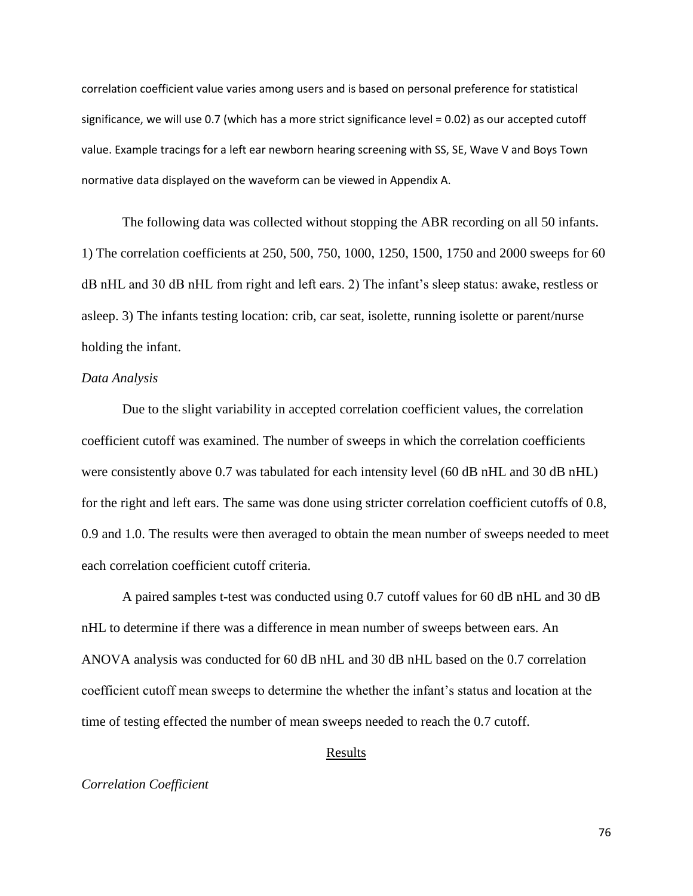correlation coefficient value varies among users and is based on personal preference for statistical significance, we will use 0.7 (which has a more strict significance level = 0.02) as our accepted cutoff value. Example tracings for a left ear newborn hearing screening with SS, SE, Wave V and Boys Town normative data displayed on the waveform can be viewed in Appendix A.

The following data was collected without stopping the ABR recording on all 50 infants. 1) The correlation coefficients at 250, 500, 750, 1000, 1250, 1500, 1750 and 2000 sweeps for 60 dB nHL and 30 dB nHL from right and left ears. 2) The infant's sleep status: awake, restless or asleep. 3) The infants testing location: crib, car seat, isolette, running isolette or parent/nurse holding the infant.

## *Data Analysis*

Due to the slight variability in accepted correlation coefficient values, the correlation coefficient cutoff was examined. The number of sweeps in which the correlation coefficients were consistently above 0.7 was tabulated for each intensity level (60 dB nHL and 30 dB nHL) for the right and left ears. The same was done using stricter correlation coefficient cutoffs of 0.8, 0.9 and 1.0. The results were then averaged to obtain the mean number of sweeps needed to meet each correlation coefficient cutoff criteria.

A paired samples t-test was conducted using 0.7 cutoff values for 60 dB nHL and 30 dB nHL to determine if there was a difference in mean number of sweeps between ears. An ANOVA analysis was conducted for 60 dB nHL and 30 dB nHL based on the 0.7 correlation coefficient cutoff mean sweeps to determine the whether the infant's status and location at the time of testing effected the number of mean sweeps needed to reach the 0.7 cutoff.

# Results

## *Correlation Coefficient*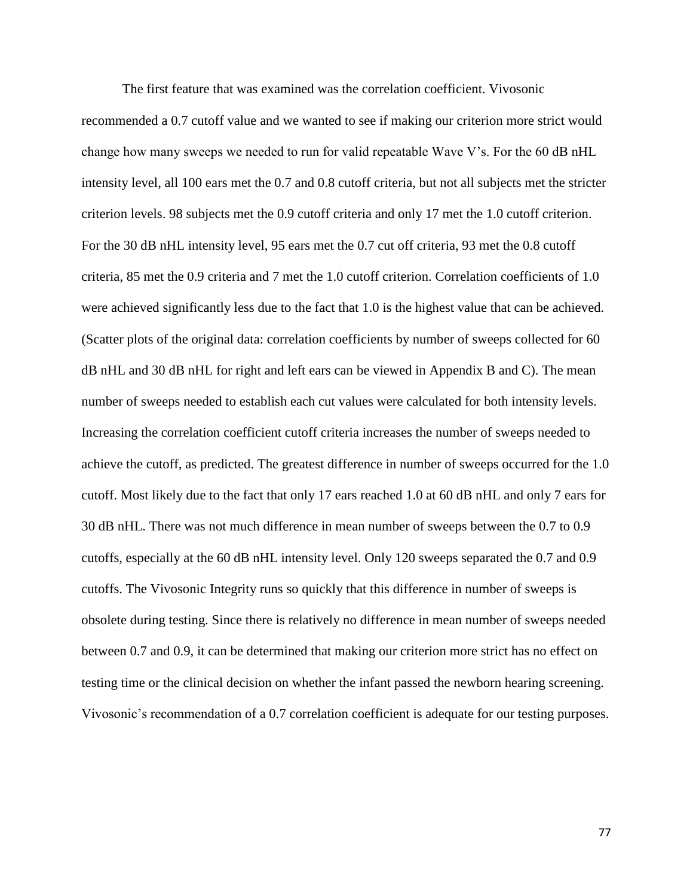The first feature that was examined was the correlation coefficient. Vivosonic recommended a 0.7 cutoff value and we wanted to see if making our criterion more strict would change how many sweeps we needed to run for valid repeatable Wave V's. For the 60 dB nHL intensity level, all 100 ears met the 0.7 and 0.8 cutoff criteria, but not all subjects met the stricter criterion levels. 98 subjects met the 0.9 cutoff criteria and only 17 met the 1.0 cutoff criterion. For the 30 dB nHL intensity level, 95 ears met the 0.7 cut off criteria, 93 met the 0.8 cutoff criteria, 85 met the 0.9 criteria and 7 met the 1.0 cutoff criterion. Correlation coefficients of 1.0 were achieved significantly less due to the fact that 1.0 is the highest value that can be achieved. (Scatter plots of the original data: correlation coefficients by number of sweeps collected for 60 dB nHL and 30 dB nHL for right and left ears can be viewed in Appendix B and C). The mean number of sweeps needed to establish each cut values were calculated for both intensity levels. Increasing the correlation coefficient cutoff criteria increases the number of sweeps needed to achieve the cutoff, as predicted. The greatest difference in number of sweeps occurred for the 1.0 cutoff. Most likely due to the fact that only 17 ears reached 1.0 at 60 dB nHL and only 7 ears for 30 dB nHL. There was not much difference in mean number of sweeps between the 0.7 to 0.9 cutoffs, especially at the 60 dB nHL intensity level. Only 120 sweeps separated the 0.7 and 0.9 cutoffs. The Vivosonic Integrity runs so quickly that this difference in number of sweeps is obsolete during testing. Since there is relatively no difference in mean number of sweeps needed between 0.7 and 0.9, it can be determined that making our criterion more strict has no effect on testing time or the clinical decision on whether the infant passed the newborn hearing screening. Vivosonic's recommendation of a 0.7 correlation coefficient is adequate for our testing purposes.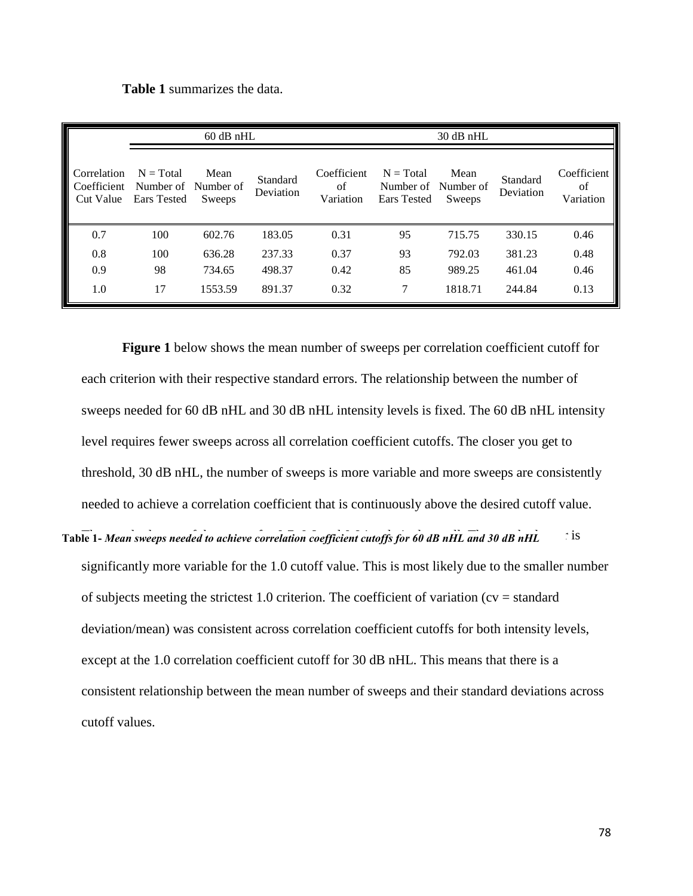|  | <b>Table 1</b> summarizes the data. |  |  |
|--|-------------------------------------|--|--|
|--|-------------------------------------|--|--|

| $60$ dB nHL                             |                                                   |                |                       | $30$ dB nHL                    |                                                          |                       |                       |                                |
|-----------------------------------------|---------------------------------------------------|----------------|-----------------------|--------------------------------|----------------------------------------------------------|-----------------------|-----------------------|--------------------------------|
| Correlation<br>Coefficient<br>Cut Value | $N = Total$<br>Number of Number of<br>Ears Tested | Mean<br>Sweeps | Standard<br>Deviation | Coefficient<br>of<br>Variation | $N = Total$<br>Number of Number of<br><b>Ears</b> Tested | Mean<br><b>Sweeps</b> | Standard<br>Deviation | Coefficient<br>of<br>Variation |
| 0.7                                     | 100                                               | 602.76         | 183.05                | 0.31                           | 95                                                       | 715.75                | 330.15                | 0.46                           |
| 0.8                                     | 100                                               | 636.28         | 237.33                | 0.37                           | 93                                                       | 792.03                | 381.23                | 0.48                           |
| 0.9                                     | 98                                                | 734.65         | 498.37                | 0.42                           | 85                                                       | 989.25                | 461.04                | 0.46                           |
| 1.0                                     | 17                                                | 1553.59        | 891.37                | 0.32                           | 7                                                        | 1818.71               | 244.84                | 0.13                           |

**Figure 1** below shows the mean number of sweeps per correlation coefficient cutoff for each criterion with their respective standard errors. The relationship between the number of sweeps needed for 60 dB nHL and 30 dB nHL intensity levels is fixed. The 60 dB nHL intensity level requires fewer sweeps across all correlation coefficient cutoffs. The closer you get to threshold, 30 dB nHL, the number of sweeps is more variable and more sweeps are consistently needed to achieve a correlation coefficient that is continuously above the desired cutoff value.

Table 1- *Mean sweeps needed to achieve correlation coefficient cutoffs for 60 dB nHL and 30 dB nHL* is significantly more variable for the 1.0 cutoff value. This is most likely due to the smaller number of subjects meeting the strictest 1.0 criterion. The coefficient of variation ( $cv = standard$ ) deviation/mean) was consistent across correlation coefficient cutoffs for both intensity levels, except at the 1.0 correlation coefficient cutoff for 30 dB nHL. This means that there is a consistent relationship between the mean number of sweeps and their standard deviations across cutoff values.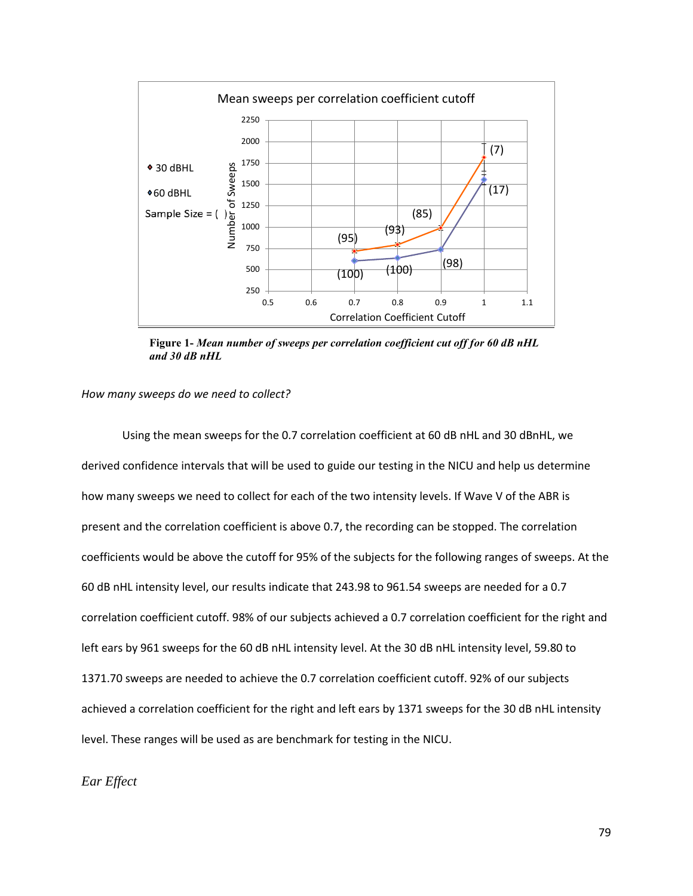

**Figure 1-** *Mean number of sweeps per correlation coefficient cut off for 60 dB nHL and 30 dB nHL*

## *How many sweeps do we need to collect?*

Using the mean sweeps for the 0.7 correlation coefficient at 60 dB nHL and 30 dBnHL, we derived confidence intervals that will be used to guide our testing in the NICU and help us determine how many sweeps we need to collect for each of the two intensity levels. If Wave V of the ABR is present and the correlation coefficient is above 0.7, the recording can be stopped. The correlation coefficients would be above the cutoff for 95% of the subjects for the following ranges of sweeps. At the 60 dB nHL intensity level, our results indicate that 243.98 to 961.54 sweeps are needed for a 0.7 correlation coefficient cutoff. 98% of our subjects achieved a 0.7 correlation coefficient for the right and left ears by 961 sweeps for the 60 dB nHL intensity level. At the 30 dB nHL intensity level, 59.80 to 1371.70 sweeps are needed to achieve the 0.7 correlation coefficient cutoff. 92% of our subjects achieved a correlation coefficient for the right and left ears by 1371 sweeps for the 30 dB nHL intensity level. These ranges will be used as are benchmark for testing in the NICU.

# *Ear Effect*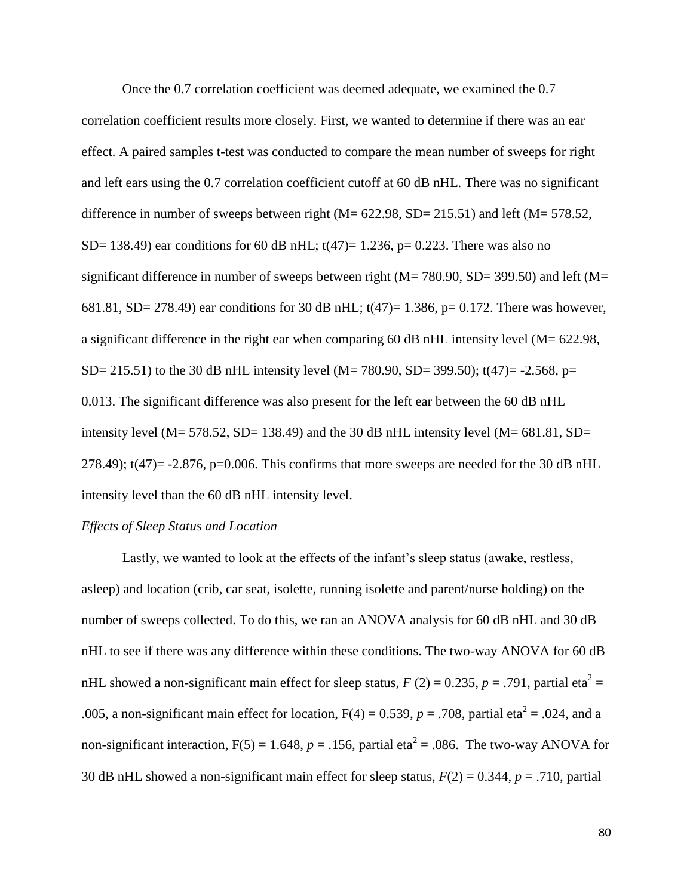Once the 0.7 correlation coefficient was deemed adequate, we examined the 0.7 correlation coefficient results more closely. First, we wanted to determine if there was an ear effect. A paired samples t-test was conducted to compare the mean number of sweeps for right and left ears using the 0.7 correlation coefficient cutoff at 60 dB nHL. There was no significant difference in number of sweeps between right ( $M = 622.98$ ,  $SD = 215.51$ ) and left ( $M = 578.52$ , SD= 138.49) ear conditions for 60 dB nHL;  $t(47)$ = 1.236, p= 0.223. There was also no significant difference in number of sweeps between right ( $M = 780.90$ ,  $SD = 399.50$ ) and left ( $M =$ 681.81, SD= 278.49) ear conditions for 30 dB nHL;  $t(47)=1.386$ , p= 0.172. There was however, a significant difference in the right ear when comparing 60 dB nHL intensity level (M= 622.98, SD= 215.51) to the 30 dB nHL intensity level (M= 780.90, SD= 399.50); t(47)= -2.568, p= 0.013. The significant difference was also present for the left ear between the 60 dB nHL intensity level (M= 578.52, SD= 138.49) and the 30 dB nHL intensity level (M=  $681.81$ , SD= 278.49);  $t(47) = -2.876$ ,  $p=0.006$ . This confirms that more sweeps are needed for the 30 dB nHL intensity level than the 60 dB nHL intensity level.

# *Effects of Sleep Status and Location*

Lastly, we wanted to look at the effects of the infant's sleep status (awake, restless, asleep) and location (crib, car seat, isolette, running isolette and parent/nurse holding) on the number of sweeps collected. To do this, we ran an ANOVA analysis for 60 dB nHL and 30 dB nHL to see if there was any difference within these conditions. The two-way ANOVA for 60 dB nHL showed a non-significant main effect for sleep status,  $F(2) = 0.235$ ,  $p = .791$ , partial eta<sup>2</sup> = .005, a non-significant main effect for location,  $F(4) = 0.539$ ,  $p = .708$ , partial eta<sup>2</sup> = .024, and a non-significant interaction,  $F(5) = 1.648$ ,  $p = .156$ , partial eta<sup>2</sup> = .086. The two-way ANOVA for 30 dB nHL showed a non-significant main effect for sleep status, *F*(2) = 0.344, *p* = .710, partial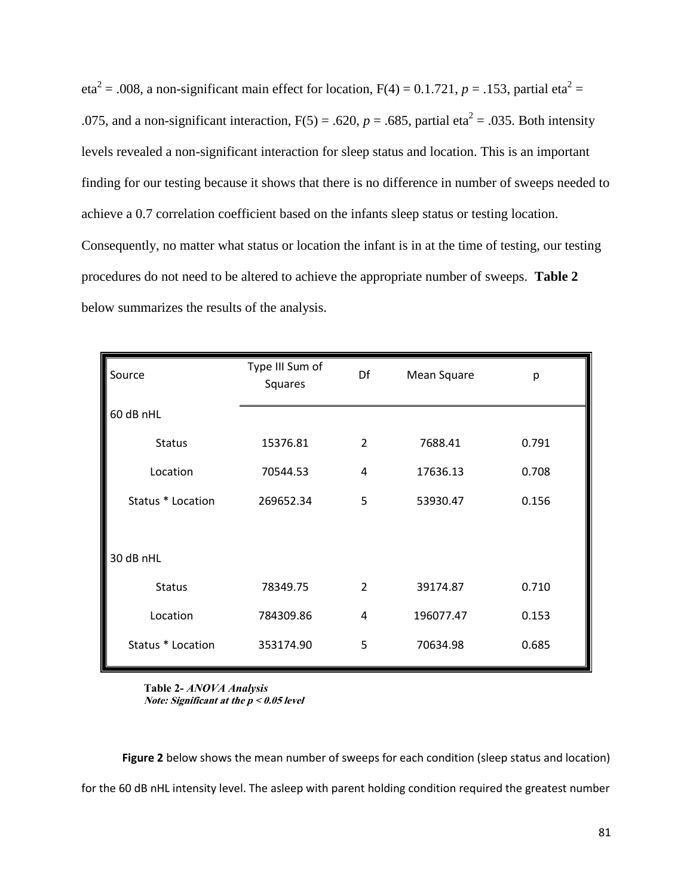$eta^2 = .008$ , a non-significant main effect for location,  $F(4) = 0.1.721$ ,  $p = .153$ , partial eta<sup>2</sup> = .075, and a non-significant interaction,  $F(5) = .620$ ,  $p = .685$ , partial eta<sup>2</sup> = .035. Both intensity levels revealed a non-significant interaction for sleep status and location. This is an important finding for our testing because it shows that there is no difference in number of sweeps needed to achieve a 0.7 correlation coefficient based on the infants sleep status or testing location. Consequently, no matter what status or location the infant is in at the time of testing, our testing procedures do not need to be altered to achieve the appropriate number of sweeps. **Table 2** below summarizes the results of the analysis.

| Source            | Type III Sum of<br>Squares | Df             | Mean Square | p     |
|-------------------|----------------------------|----------------|-------------|-------|
| 60 dB nHL         |                            |                |             |       |
| <b>Status</b>     | 15376.81                   | $\overline{2}$ | 7688.41     | 0.791 |
| Location          | 70544.53                   | 4              | 17636.13    | 0.708 |
| Status * Location | 269652.34                  | 5              | 53930.47    | 0.156 |
|                   |                            |                |             |       |
| 30 dB nHL         |                            |                |             |       |
| <b>Status</b>     | 78349.75                   | 2              | 39174.87    | 0.710 |
| Location          | 784309.86                  | 4              | 196077.47   | 0.153 |
| Status * Location | 353174.90                  | 5              | 70634.98    | 0.685 |

**Table 2-** *ANOVA Analysis* **Note: Significant at the p < 0.05 level**

**Figure 2** below shows the mean number of sweeps for each condition (sleep status and location) for the 60 dB nHL intensity level. The asleep with parent holding condition required the greatest number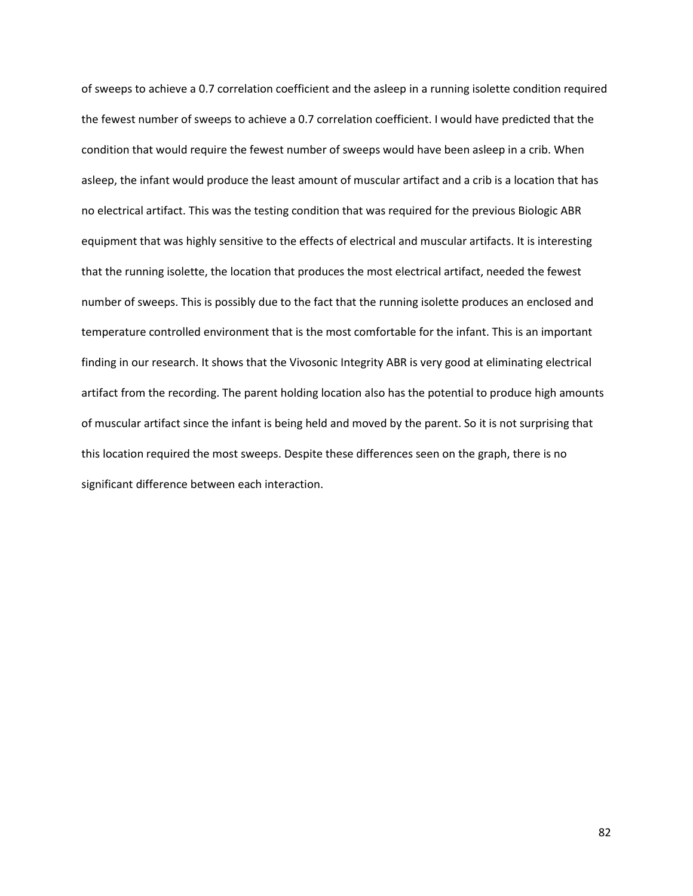of sweeps to achieve a 0.7 correlation coefficient and the asleep in a running isolette condition required the fewest number of sweeps to achieve a 0.7 correlation coefficient. I would have predicted that the condition that would require the fewest number of sweeps would have been asleep in a crib. When asleep, the infant would produce the least amount of muscular artifact and a crib is a location that has no electrical artifact. This was the testing condition that was required for the previous Biologic ABR equipment that was highly sensitive to the effects of electrical and muscular artifacts. It is interesting that the running isolette, the location that produces the most electrical artifact, needed the fewest number of sweeps. This is possibly due to the fact that the running isolette produces an enclosed and temperature controlled environment that is the most comfortable for the infant. This is an important finding in our research. It shows that the Vivosonic Integrity ABR is very good at eliminating electrical artifact from the recording. The parent holding location also has the potential to produce high amounts of muscular artifact since the infant is being held and moved by the parent. So it is not surprising that this location required the most sweeps. Despite these differences seen on the graph, there is no significant difference between each interaction.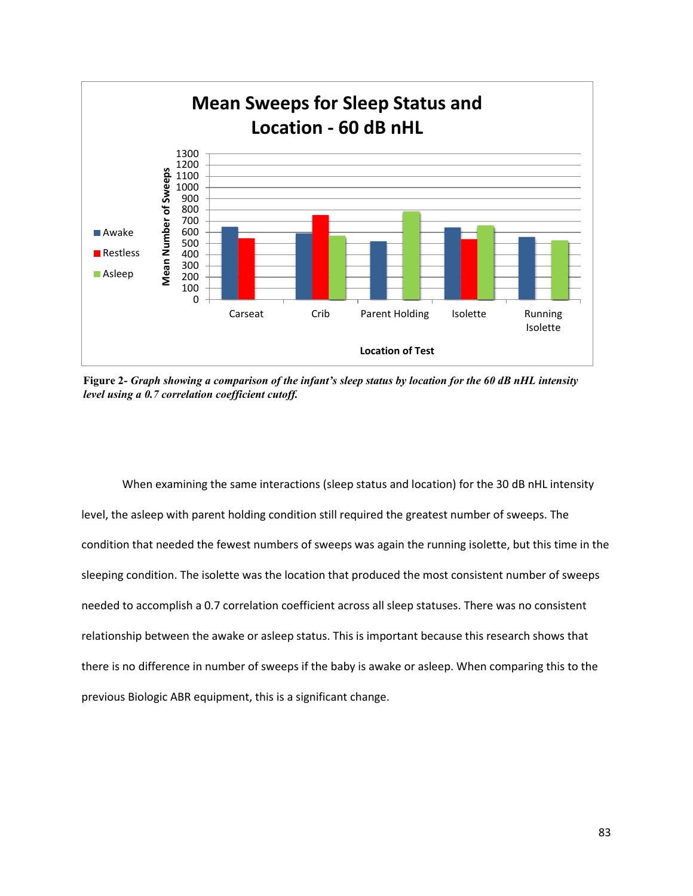

**Figure 2-** *Graph showing a comparison of the infant's sleep status by location for the 60 dB nHL intensity level using a 0.7 correlation coefficient cutoff.*

When examining the same interactions (sleep status and location) for the 30 dB nHL intensity level, the asleep with parent holding condition still required the greatest number of sweeps. The condition that needed the fewest numbers of sweeps was again the running isolette, but this time in the sleeping condition. The isolette was the location that produced the most consistent number of sweeps needed to accomplish a 0.7 correlation coefficient across all sleep statuses. There was no consistent relationship between the awake or asleep status. This is important because this research shows that there is no difference in number of sweeps if the baby is awake or asleep. When comparing this to the previous Biologic ABR equipment, this is a significant change.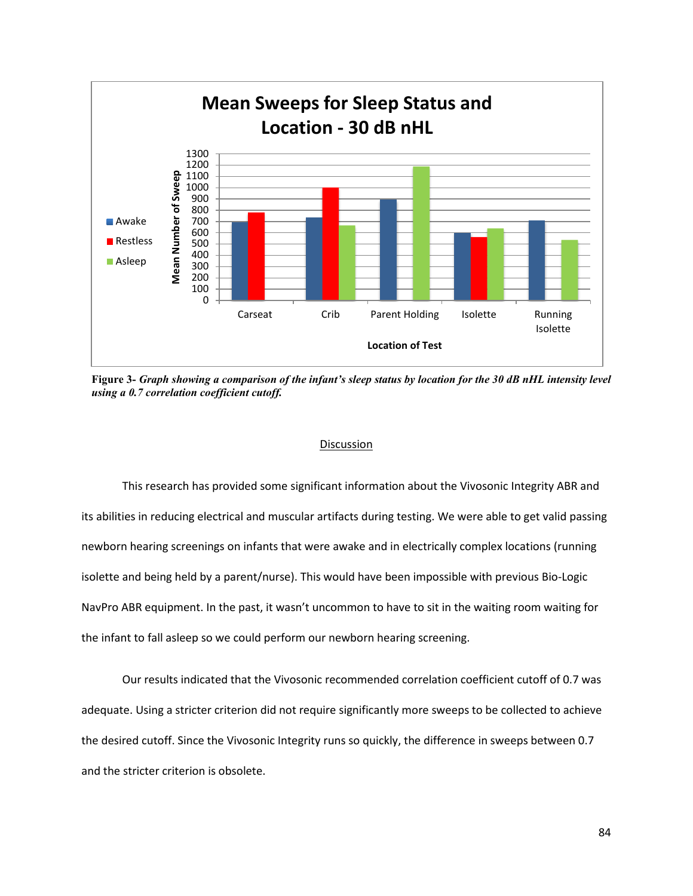

**Figure 3-** *Graph showing a comparison of the infant's sleep status by location for the 30 dB nHL intensity level using a 0.7 correlation coefficient cutoff.*

#### Discussion

This research has provided some significant information about the Vivosonic Integrity ABR and its abilities in reducing electrical and muscular artifacts during testing. We were able to get valid passing newborn hearing screenings on infants that were awake and in electrically complex locations (running isolette and being held by a parent/nurse). This would have been impossible with previous Bio-Logic NavPro ABR equipment. In the past, it wasn't uncommon to have to sit in the waiting room waiting for the infant to fall asleep so we could perform our newborn hearing screening.

Our results indicated that the Vivosonic recommended correlation coefficient cutoff of 0.7 was adequate. Using a stricter criterion did not require significantly more sweeps to be collected to achieve the desired cutoff. Since the Vivosonic Integrity runs so quickly, the difference in sweeps between 0.7 and the stricter criterion is obsolete.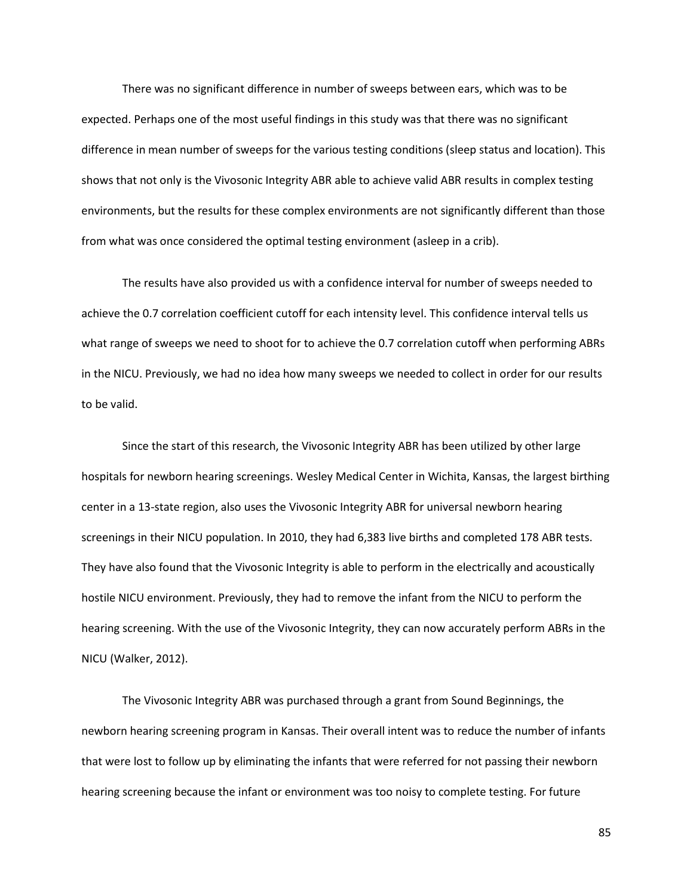There was no significant difference in number of sweeps between ears, which was to be expected. Perhaps one of the most useful findings in this study was that there was no significant difference in mean number of sweeps for the various testing conditions (sleep status and location). This shows that not only is the Vivosonic Integrity ABR able to achieve valid ABR results in complex testing environments, but the results for these complex environments are not significantly different than those from what was once considered the optimal testing environment (asleep in a crib).

The results have also provided us with a confidence interval for number of sweeps needed to achieve the 0.7 correlation coefficient cutoff for each intensity level. This confidence interval tells us what range of sweeps we need to shoot for to achieve the 0.7 correlation cutoff when performing ABRs in the NICU. Previously, we had no idea how many sweeps we needed to collect in order for our results to be valid.

Since the start of this research, the Vivosonic Integrity ABR has been utilized by other large hospitals for newborn hearing screenings. Wesley Medical Center in Wichita, Kansas, the largest birthing center in a 13-state region, also uses the Vivosonic Integrity ABR for universal newborn hearing screenings in their NICU population. In 2010, they had 6,383 live births and completed 178 ABR tests. They have also found that the Vivosonic Integrity is able to perform in the electrically and acoustically hostile NICU environment. Previously, they had to remove the infant from the NICU to perform the hearing screening. With the use of the Vivosonic Integrity, they can now accurately perform ABRs in the NICU (Walker, 2012).

The Vivosonic Integrity ABR was purchased through a grant from Sound Beginnings, the newborn hearing screening program in Kansas. Their overall intent was to reduce the number of infants that were lost to follow up by eliminating the infants that were referred for not passing their newborn hearing screening because the infant or environment was too noisy to complete testing. For future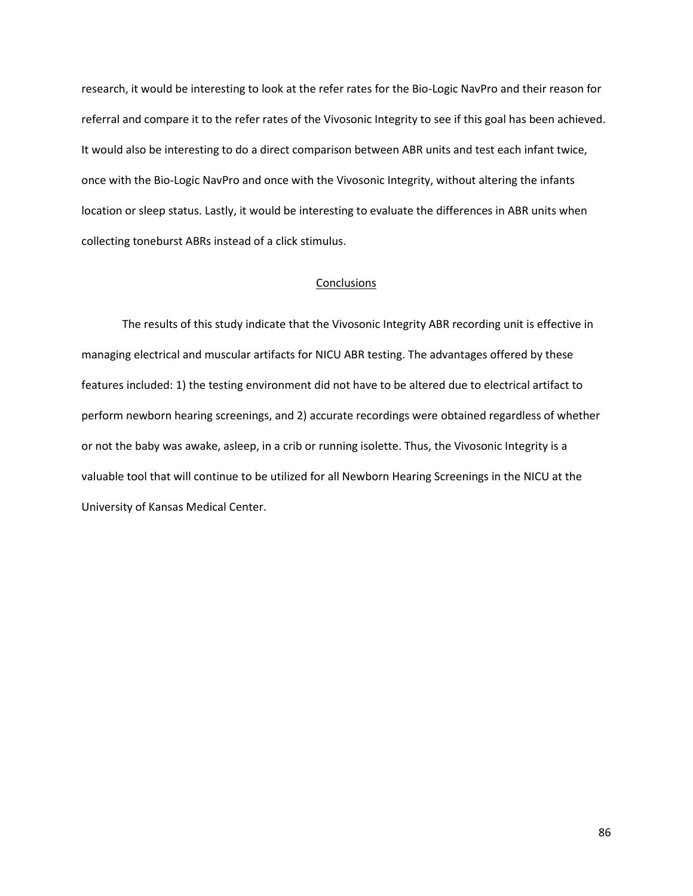research, it would be interesting to look at the refer rates for the Bio-Logic NavPro and their reason for referral and compare it to the refer rates of the Vivosonic Integrity to see if this goal has been achieved. It would also be interesting to do a direct comparison between ABR units and test each infant twice, once with the Bio-Logic NavPro and once with the Vivosonic Integrity, without altering the infants location or sleep status. Lastly, it would be interesting to evaluate the differences in ABR units when collecting toneburst ABRs instead of a click stimulus.

### **Conclusions**

The results of this study indicate that the Vivosonic Integrity ABR recording unit is effective in managing electrical and muscular artifacts for NICU ABR testing. The advantages offered by these features included: 1) the testing environment did not have to be altered due to electrical artifact to perform newborn hearing screenings, and 2) accurate recordings were obtained regardless of whether or not the baby was awake, asleep, in a crib or running isolette. Thus, the Vivosonic Integrity is a valuable tool that will continue to be utilized for all Newborn Hearing Screenings in the NICU at the University of Kansas Medical Center.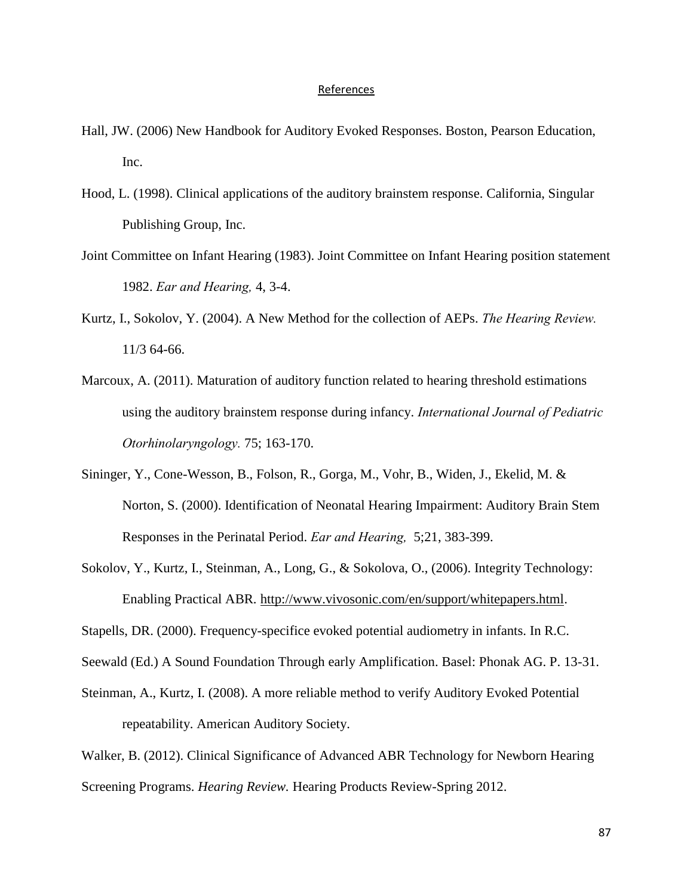#### References

- Hall, JW. (2006) New Handbook for Auditory Evoked Responses. Boston, Pearson Education, Inc.
- Hood, L. (1998). Clinical applications of the auditory brainstem response. California, Singular Publishing Group, Inc.
- Joint Committee on Infant Hearing (1983). Joint Committee on Infant Hearing position statement 1982. *Ear and Hearing,* 4, 3-4.
- Kurtz, I., Sokolov, Y. (2004). A New Method for the collection of AEPs. *The Hearing Review.*  11/3 64-66.
- Marcoux, A. (2011). Maturation of auditory function related to hearing threshold estimations using the auditory brainstem response during infancy. *International Journal of Pediatric Otorhinolaryngology.* 75; 163-170.
- Sininger, Y., Cone-Wesson, B., Folson, R., Gorga, M., Vohr, B., Widen, J., Ekelid, M. & Norton, S. (2000). Identification of Neonatal Hearing Impairment: Auditory Brain Stem Responses in the Perinatal Period. *Ear and Hearing,* 5;21, 383-399.
- Sokolov, Y., Kurtz, I., Steinman, A., Long, G., & Sokolova, O., (2006). Integrity Technology: Enabling Practical ABR. [http://www.vivosonic.com/en/support/whitepapers.html.](http://www.vivosonic.com/en/support/whitepapers.html)
- Stapells, DR. (2000). Frequency-specifice evoked potential audiometry in infants. In R.C.
- Seewald (Ed.) A Sound Foundation Through early Amplification. Basel: Phonak AG. P. 13-31.
- Steinman, A., Kurtz, I. (2008). A more reliable method to verify Auditory Evoked Potential repeatability. American Auditory Society.

Walker, B. (2012). Clinical Significance of Advanced ABR Technology for Newborn Hearing Screening Programs. *Hearing Review.* Hearing Products Review-Spring 2012.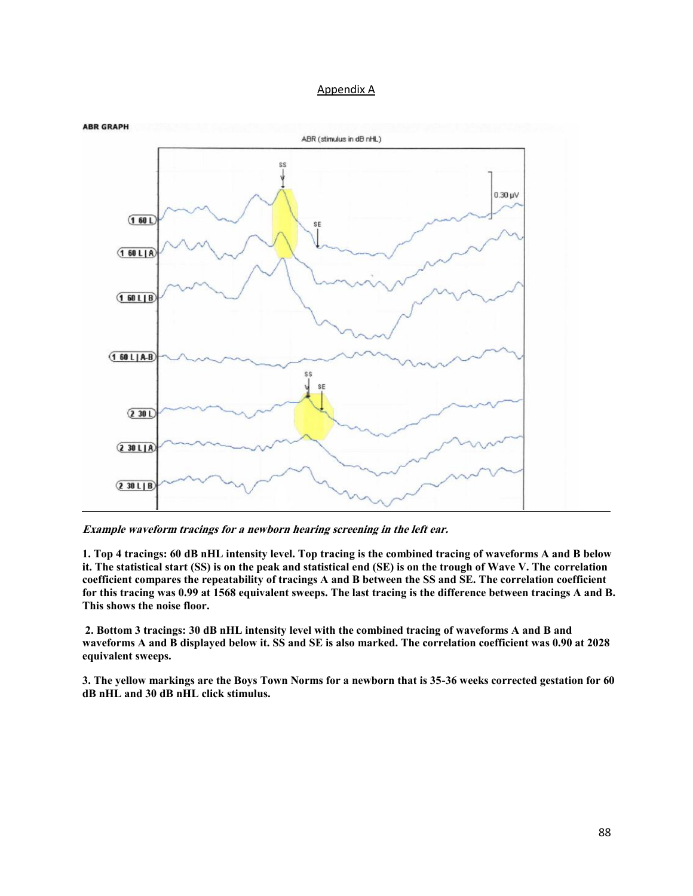### Appendix A



**Example waveform tracings for a newborn hearing screening in the left ear.** 

**1. Top 4 tracings: 60 dB nHL intensity level. Top tracing is the combined tracing of waveforms A and B below it. The statistical start (SS) is on the peak and statistical end (SE) is on the trough of Wave V. The correlation coefficient compares the repeatability of tracings A and B between the SS and SE. The correlation coefficient for this tracing was 0.99 at 1568 equivalent sweeps. The last tracing is the difference between tracings A and B. This shows the noise floor.**

**2. Bottom 3 tracings: 30 dB nHL intensity level with the combined tracing of waveforms A and B and waveforms A and B displayed below it. SS and SE is also marked. The correlation coefficient was 0.90 at 2028 equivalent sweeps.** 

**3. The yellow markings are the Boys Town Norms for a newborn that is 35-36 weeks corrected gestation for 60 dB nHL and 30 dB nHL click stimulus.**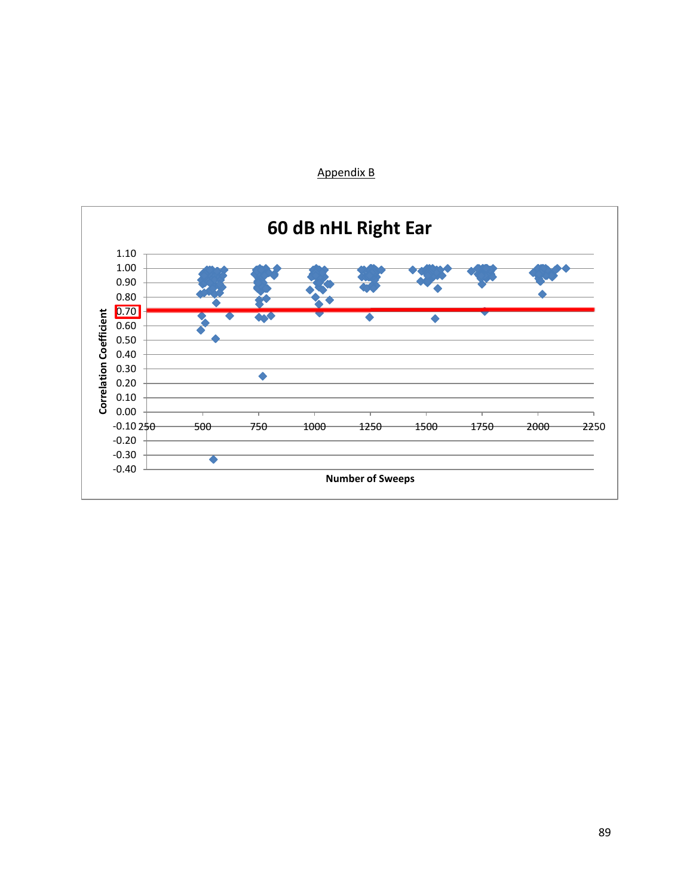

# Appendix B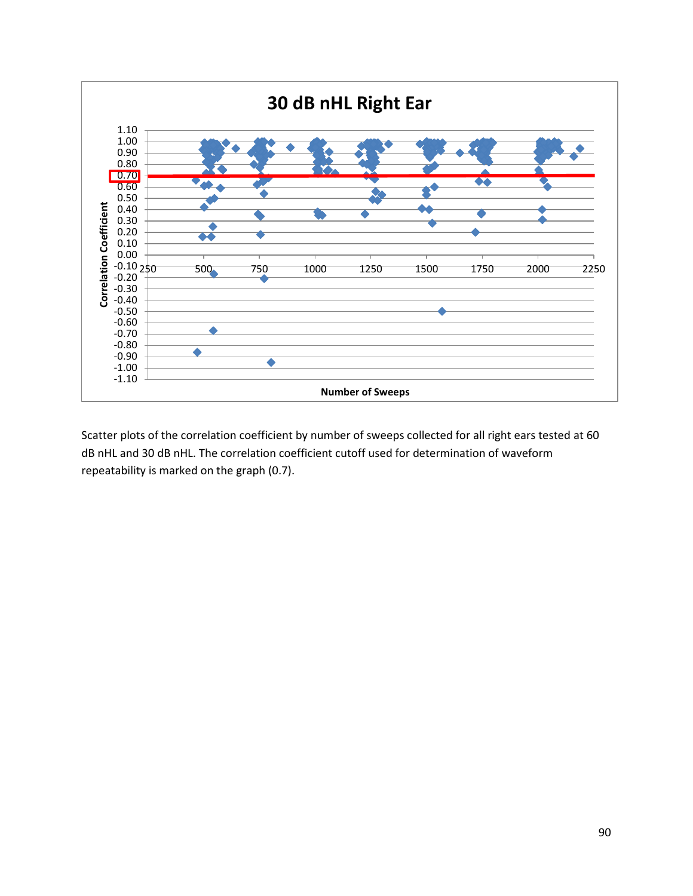

Scatter plots of the correlation coefficient by number of sweeps collected for all right ears tested at 60 dB nHL and 30 dB nHL. The correlation coefficient cutoff used for determination of waveform repeatability is marked on the graph (0.7).